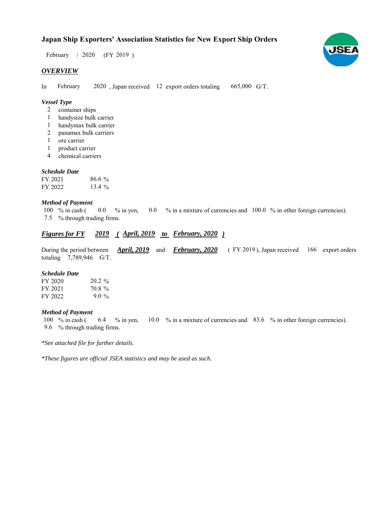$/ 2020$  (FY 2019) February / 2020

## *OVERVIEW*

In February 2020, Japan received 12 export orders totaling 665,000 G/T. February

## *Vessel Type*

- 2 container ships
- handysize bulk carrier 1
- handymax bulk carrier 1
- panamax bulk carriers 2
- ore carrier 1
- product carrier 1
- chemical carriers 4

#### *Schedule Date*

| FY 2021 | $86.6\%$  |
|---------|-----------|
| FY 2022 | 13.4 $\%$ |

#### *Method of Payment*

% in cash ( $\ 0.0\$  % in yen,  $\ 0.0\$  % in a mixture of currencies and  $\ 100.0\%$  in other foreign currencies). % through trading firms. 7.5  $0.0 \t%$  in yen, 100 % in cash (

## *Figures for FY* 2019 (April, 2019 to February, 2020)

During the period between *April, 2019* and *February, 2020* (FY 2019), Japan received 166 export orders totaling  $7,789,946$  G/T. *February, 2020 April, 2019*

#### *Schedule Date*

| FY 2020 | $20.2\%$ |
|---------|----------|
| FY 2021 | 70.8%    |
| FY 2022 | 9.0 %    |

#### *Method of Payment*

% in cash ( $\qquad 6.4 \qquad$ % in yen,  $\qquad 10.0 \qquad$ % in a mixture of currencies and  $\qquad 83.6 \qquad$ % in other foreign currencies). % through trading firms. 9.6 6.4  $%$  % in yen, 100  $%$  in cash (

*\*See attached file for further details.*

*\*These figures are official JSEA statistics and may be used as such.*

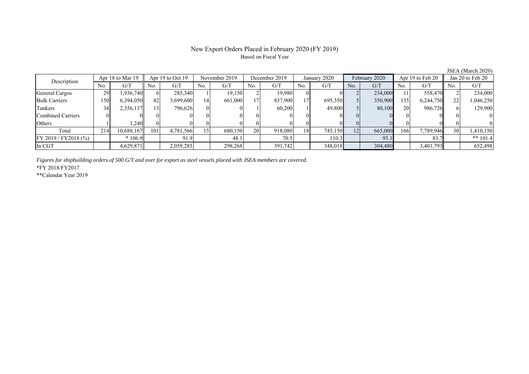# New Export Orders Placed in February 2020 (FY 2019) Based on Fiscal Year

JSEA (March 2020)

| Description           | Apr 18 to Mar 19 |            | Apr $19$ to Oct $19$ |           | November 2019 |         | December 2019 |          | January 2020 |         | February 2020 |         | Apr 19 to Feb 20 |           | Jan 20 to Feb 20 |            |
|-----------------------|------------------|------------|----------------------|-----------|---------------|---------|---------------|----------|--------------|---------|---------------|---------|------------------|-----------|------------------|------------|
|                       | No.              | G/T        | No.                  | G/T       | No.           | G/T     | No.           | G/T      | No.          | G/T     | No.           | G/T     | No.              | G/T       | No.              | G/T        |
| General Cargos        | 29               | .936,740   | 61                   | 285,340   |               | 19,150  |               | 19.980   |              |         |               | 234,000 | 11               | 558,470   |                  | 234,000    |
| <b>Bulk Carriers</b>  | 150              | 6,394,050  | 82                   | 3,699,600 | 14            | 661,000 |               | 837,900  | 17           | 695,350 |               | 350,900 | 135              | 6,244,750 |                  | 1,046,250  |
| Tankers               | 34               | 2,356,137  | 13 <sup>1</sup>      | 796,626   |               |         |               | 60,200   |              | 49,800  |               | 80,100  | <b>20</b>        | 986,726   |                  | 129,900    |
| Combined Carriers     |                  |            |                      |           |               |         |               |          |              |         |               |         |                  |           |                  |            |
| Others                |                  | .240       |                      |           |               |         |               | $\Omega$ |              |         |               |         |                  |           |                  |            |
| Total                 | 214              | 10,688,167 | 101                  | 4,781,566 |               | 680,150 | 20            | 918,080  | 18           | 745,150 | 12            | 665,000 | 166              | 7,789,946 | 30               | 1,410,150  |
| FY 2019 / FY 2018 (%) |                  | $*106.9$   |                      | 91.9      |               | 48.1    |               | 70.5     |              | 110.3   |               | 93.1    |                  | 83.7      |                  | ** $101.4$ |
| In CGT                |                  | 4,629,871  |                      | 2,059,285 |               | 298,268 |               | 391,742  |              | 348,018 |               | 304,480 |                  | 3,401,793 |                  | 652,498    |

*Figures for shipbuilding orders of 500 G/T and over for export as steel vessels placed with JSEA members are covered.*

\*FY 2018/FY2017

\*\*Calendar Year 2019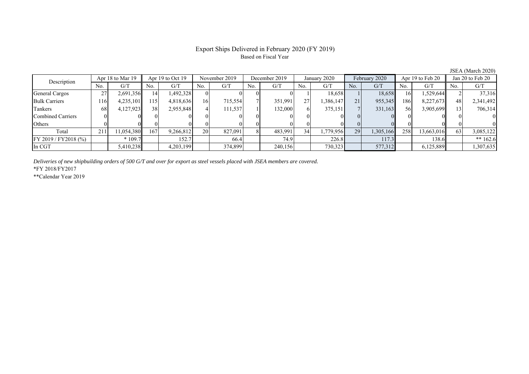# Export Ships Delivered in February 2020 (FY 2019) Based on Fiscal Year

JSEA (March 2020)

| Description           | Apr 18 to Mar 19 |            | Apr 19 to Oct 19 |           | November 2019   |         | December 2019 |         | January 2020 |           | February 2020 |           | Apr 19 to Feb 20 |            | Jan 20 to Feb 20 |            |
|-----------------------|------------------|------------|------------------|-----------|-----------------|---------|---------------|---------|--------------|-----------|---------------|-----------|------------------|------------|------------------|------------|
|                       | No.              | G/T        | No.              | G/T       | No.             | G/T     | No.           | G/T     | No.          | G/T       | No.           | G/T       | No.              | G/T        | No.              | G/T        |
| General Cargos        | ∩−               | 2,691,356  | 14               | 1,492,328 |                 |         |               |         |              | 18.658    |               | 18,658    | 16               | 1,529,644  |                  | 37,316     |
| <b>Bulk Carriers</b>  | 116              | 4,235,101  | 15               | 4,818,636 | 16              | 715,554 |               | 351,991 | 27           | 1,386,147 | 21            | 955,345   | 186              | 8,227,673  | 48               | 2,341,492  |
| Tankers               | 68               | 4,127,923  | 38               | 2,955,848 |                 | 111,537 |               | 132,000 |              | 375,151   |               | 331,163   | 56               | 3,905,699  |                  | 706,314    |
| Combined Carriers     |                  |            |                  |           |                 |         |               |         |              |           |               |           |                  |            |                  | $\Omega$   |
| Others                |                  |            |                  |           |                 |         |               |         |              |           |               |           |                  |            |                  |            |
| Total                 | 211              | 11,054,380 | 167              | 9,266,812 | 20 <sup>1</sup> | 827,091 |               | 483,991 | 34           | 1,779,956 | 29            | 1,305,166 | 258              | 13,663,016 | 63               | 3,085,122  |
| FY 2019 / FY 2018 (%) |                  | $*109.7$   |                  | 152.7     |                 | 66.4    |               | 74.9    |              | 226.8     |               | 117.3     |                  | 138.6      |                  | ** $162.6$ |
| In CGT                |                  | 5,410,238  |                  | 4,203,199 |                 | 374,899 |               | 240,156 |              | 730,323   |               | 577,312   |                  | 6,125,889  |                  | 1,307,635  |

*Deliveries of new shipbuilding orders of 500 G/T and over for export as steel vessels placed with JSEA members are covered.*

\*FY 2018/FY2017

\*\*Calendar Year 2019